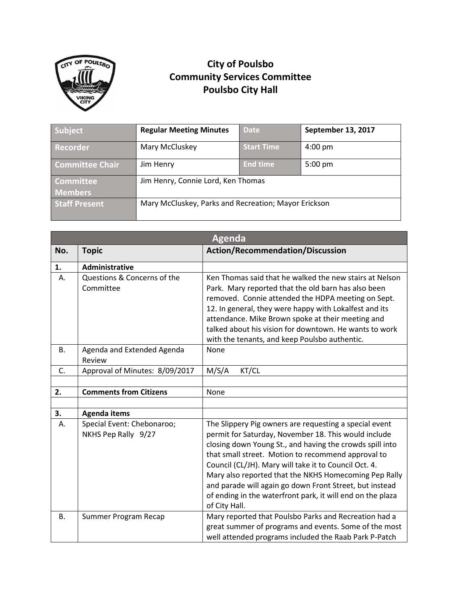

## **City of Poulsbo Community Services Committee Poulsbo City Hall**

| Subject                | <b>Regular Meeting Minutes</b>                       | <b>Date</b>       | September 13, 2017 |
|------------------------|------------------------------------------------------|-------------------|--------------------|
| <b>Recorder</b>        | Mary McCluskey                                       | <b>Start Time</b> | $4:00 \text{ pm}$  |
| <b>Committee Chair</b> | Jim Henry                                            | <b>End time</b>   | $5:00 \text{ pm}$  |
| Committee <sup>'</sup> | Jim Henry, Connie Lord, Ken Thomas                   |                   |                    |
| <b>Members</b>         |                                                      |                   |                    |
| <b>Staff Present</b>   | Mary McCluskey, Parks and Recreation; Mayor Erickson |                   |                    |

|           | <b>Agenda</b>                                     |                                                                                                                                                                                                                                                                                                                                                                                                                                                                                              |  |  |  |
|-----------|---------------------------------------------------|----------------------------------------------------------------------------------------------------------------------------------------------------------------------------------------------------------------------------------------------------------------------------------------------------------------------------------------------------------------------------------------------------------------------------------------------------------------------------------------------|--|--|--|
| No.       | <b>Topic</b>                                      | <b>Action/Recommendation/Discussion</b>                                                                                                                                                                                                                                                                                                                                                                                                                                                      |  |  |  |
| 1.        | <b>Administrative</b>                             |                                                                                                                                                                                                                                                                                                                                                                                                                                                                                              |  |  |  |
| А.        | Questions & Concerns of the<br>Committee          | Ken Thomas said that he walked the new stairs at Nelson<br>Park. Mary reported that the old barn has also been<br>removed. Connie attended the HDPA meeting on Sept.<br>12. In general, they were happy with Lokalfest and its<br>attendance. Mike Brown spoke at their meeting and<br>talked about his vision for downtown. He wants to work<br>with the tenants, and keep Poulsbo authentic.                                                                                               |  |  |  |
| В.        | Agenda and Extended Agenda<br>Review              | <b>None</b>                                                                                                                                                                                                                                                                                                                                                                                                                                                                                  |  |  |  |
| C.        | Approval of Minutes: 8/09/2017                    | M/S/A<br>KT/CL                                                                                                                                                                                                                                                                                                                                                                                                                                                                               |  |  |  |
|           |                                                   |                                                                                                                                                                                                                                                                                                                                                                                                                                                                                              |  |  |  |
| 2.        | <b>Comments from Citizens</b>                     | None                                                                                                                                                                                                                                                                                                                                                                                                                                                                                         |  |  |  |
|           |                                                   |                                                                                                                                                                                                                                                                                                                                                                                                                                                                                              |  |  |  |
| 3.        | <b>Agenda items</b>                               |                                                                                                                                                                                                                                                                                                                                                                                                                                                                                              |  |  |  |
| А.        | Special Event: Chebonaroo;<br>NKHS Pep Rally 9/27 | The Slippery Pig owners are requesting a special event<br>permit for Saturday, November 18. This would include<br>closing down Young St., and having the crowds spill into<br>that small street. Motion to recommend approval to<br>Council (CL/JH). Mary will take it to Council Oct. 4.<br>Mary also reported that the NKHS Homecoming Pep Rally<br>and parade will again go down Front Street, but instead<br>of ending in the waterfront park, it will end on the plaza<br>of City Hall. |  |  |  |
| <b>B.</b> | Summer Program Recap                              | Mary reported that Poulsbo Parks and Recreation had a<br>great summer of programs and events. Some of the most<br>well attended programs included the Raab Park P-Patch                                                                                                                                                                                                                                                                                                                      |  |  |  |